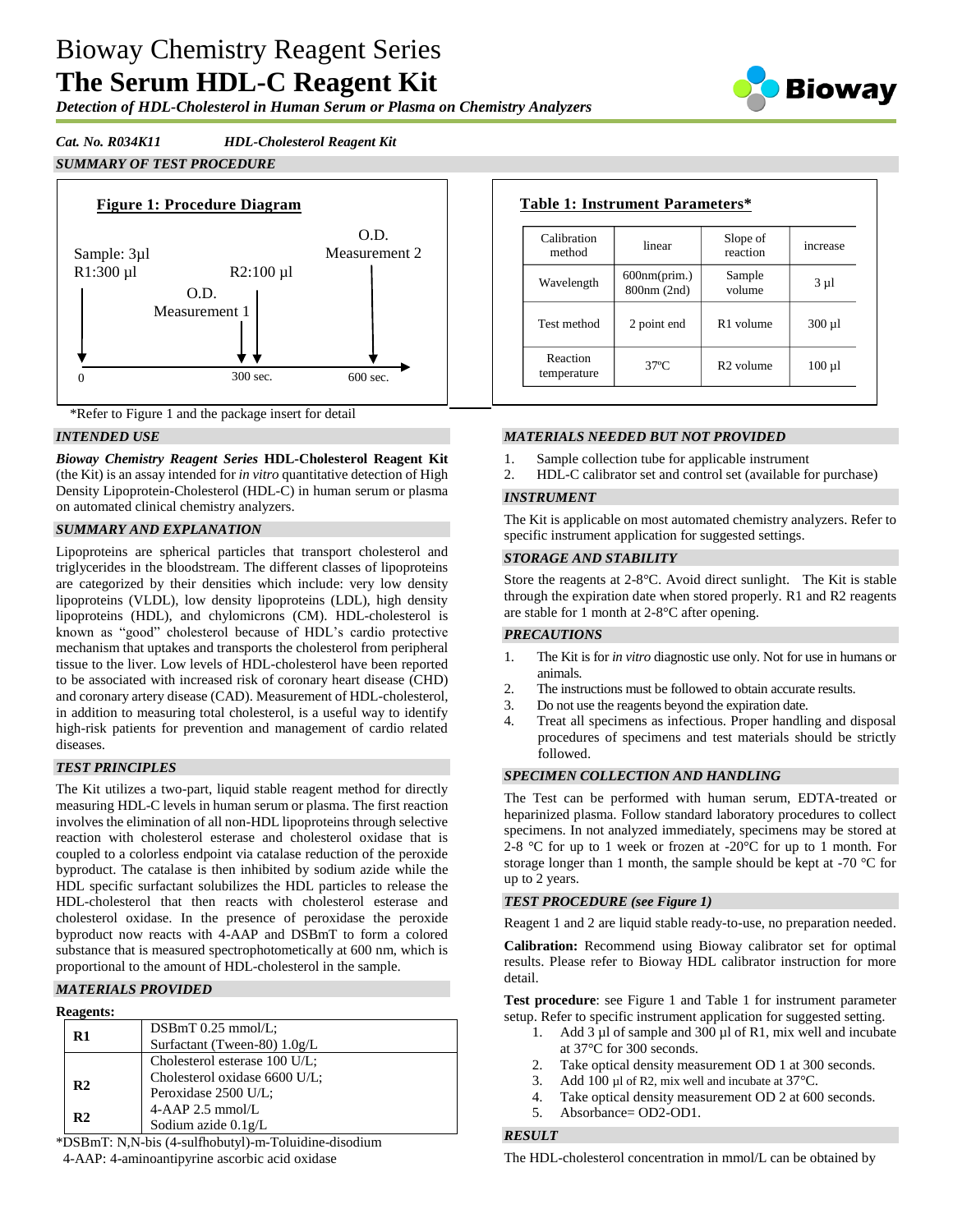# Bioway Chemistry Reagent Series **The Serum HDL-C Reagent Kit**

*Detection of HDL-Cholesterol in Human Serum or Plasma on Chemistry Analyzers*



# *Cat. No. R034K11 HDL-Cholesterol Reagent Kit*

*SUMMARY OF TEST PROCEDURE*



\*Refer to Figure 1 and the package insert for detail

# *INTENDED USE*

*Bioway Chemistry Reagent Series* **HDL-Cholesterol Reagent Kit**  (the Kit) is an assay intended for *in vitro* quantitative detection of High Density Lipoprotein-Cholesterol (HDL-C) in human serum or plasma on automated clinical chemistry analyzers.

# *SUMMARY AND EXPLANATION*

Lipoproteins are spherical particles that transport cholesterol and triglycerides in the bloodstream. The different classes of lipoproteins are categorized by their densities which include: very low density lipoproteins (VLDL), low density lipoproteins (LDL), high density lipoproteins (HDL), and chylomicrons (CM). HDL-cholesterol is known as "good" cholesterol because of HDL's cardio protective mechanism that uptakes and transports the cholesterol from peripheral tissue to the liver. Low levels of HDL-cholesterol have been reported to be associated with increased risk of coronary heart disease (CHD) and coronary artery disease (CAD). Measurement of HDL-cholesterol, in addition to measuring total cholesterol, is a useful way to identify high-risk patients for prevention and management of cardio related diseases.

# *TEST PRINCIPLES*

The Kit utilizes a two-part, liquid stable reagent method for directly measuring HDL-C levels in human serum or plasma. The first reaction involves the elimination of all non-HDL lipoproteins through selective reaction with cholesterol esterase and cholesterol oxidase that is coupled to a colorless endpoint via catalase reduction of the peroxide byproduct. The catalase is then inhibited by sodium azide while the HDL specific surfactant solubilizes the HDL particles to release the HDL-cholesterol that then reacts with cholesterol esterase and cholesterol oxidase. In the presence of peroxidase the peroxide byproduct now reacts with 4-AAP and DSBmT to form a colored substance that is measured spectrophotometically at 600 nm, which is proportional to the amount of HDL-cholesterol in the sample.

# *MATERIALS PROVIDED*

| <b>Reagents:</b> |                               |
|------------------|-------------------------------|
| $\bf R1$         | $DSBmT 0.25 mmol/L$ ;         |
|                  | Surfactant (Tween-80) 1.0g/L  |
|                  | Cholesterol esterase 100 U/L; |
| R <sub>2</sub>   | Cholesterol oxidase 6600 U/L; |
|                  | Peroxidase 2500 U/L;          |
| R <sub>2</sub>   | $4$ -AAP 2.5 mmol/L           |
|                  | Sodium azide $0.1g/L$         |

\*DSBmT: N,N-bis (4-sulfhobutyl)-m-Toluidine-disodium 4-AAP: 4-aminoantipyrine ascorbic acid oxidase

# **Table 1: Instrument Parameters\***

| Calibration<br>method   | linear                      | Slope of<br>reaction  | increase    |
|-------------------------|-----------------------------|-----------------------|-------------|
| Wavelength              | 600nm(prim.)<br>800nm (2nd) | Sample<br>volume      | $3 \mu l$   |
| Test method             | 2 point end                 | R <sub>1</sub> volume | $300 \mu l$ |
| Reaction<br>temperature | $37^{\circ}$ C              | R <sub>2</sub> volume | $100 \mu l$ |

# *MATERIALS NEEDED BUT NOT PROVIDED*

- 1. Sample collection tube for applicable instrument
- 2. HDL-C calibrator set and control set (available for purchase)

#### *INSTRUMENT*

The Kit is applicable on most automated chemistry analyzers. Refer to specific instrument application for suggested settings.

# *STORAGE AND STABILITY*

Store the reagents at 2-8°C. Avoid direct sunlight. The Kit is stable through the expiration date when stored properly. R1 and R2 reagents are stable for 1 month at 2-8°C after opening.

# *PRECAUTIONS*

- 1. The Kit is for *in vitro* diagnostic use only. Not for use in humans or animals.
- 2. The instructions must be followed to obtain accurate results.
- 3. Do not use the reagents beyond the expiration date.
- 4. Treat all specimens as infectious. Proper handling and disposal procedures of specimens and test materials should be strictly followed.

# *SPECIMEN COLLECTION AND HANDLING*

The Test can be performed with human serum, EDTA-treated or heparinized plasma. Follow standard laboratory procedures to collect specimens. In not analyzed immediately, specimens may be stored at 2-8 °C for up to 1 week or frozen at -20°C for up to 1 month. For storage longer than 1 month, the sample should be kept at -70 °C for up to 2 years.

# *TEST PROCEDURE (see Figure 1)*

Reagent 1 and 2 are liquid stable ready-to-use, no preparation needed.

**Calibration:** Recommend using Bioway calibrator set for optimal results. Please refer to Bioway HDL calibrator instruction for more detail.

**Test procedure**: see Figure 1 and Table 1 for instrument parameter setup. Refer to specific instrument application for suggested setting.

- 1. Add 3 µl of sample and 300 µl of R1, mix well and incubate at 37°C for 300 seconds.
- 2. Take optical density measurement OD 1 at 300 seconds.
- 3. Add 100 µl of R2, mix well and incubate at 37 °C.
- 4. Take optical density measurement OD 2 at 600 seconds.
- 5. Absorbance= OD2-OD1.

# *RESULT*

The HDL-cholesterol concentration in mmol/L can be obtained by